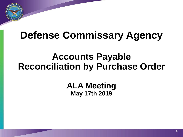

# **Defense Commissary Agency**

### **Accounts Payable Reconciliation by Purchase Order**

**ALA Meeting May 17th 2019**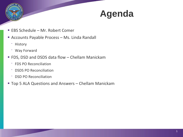

## <sup>P</sup> **Agenda**

- EBS Schedule Mr. Robert Comer
- Accounts Payable Process Ms. Linda Randall
	- ‾ History
	- ‾ Way Forward
- FDS, DSD and DSDS data flow Chellam Manickam
	- ‾ FDS PO Reconciliation
	- ‾ DSDS PO Reconciliation
	- ‾ DSD PO Reconciliation
- **Top 5 ALA Questions and Answers Chellam Manickam**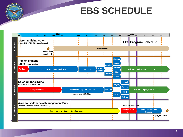## **EBS SCHEDULE**

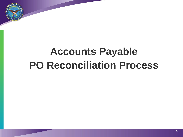

# **Accounts Payable PO Reconciliation Process**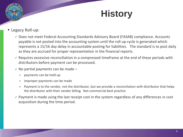## **History**

#### **Legacy Roll-up:**

- $\checkmark$  Does not meet Federal Accounting Standards Advisory Board (FASAB) compliance. Accounts payable is not posted into the accounting system until the roll-up cycle is generated which represents a 15/16 day delay in accountable posting for liabilities. The standard is to post daily as they are accrued for proper representation in the financial reports.
- $\checkmark$  Requires excessive reconciliation in a compressed timeframe at the end of these periods with distributors before payment can be processed.
- $\checkmark$  No partial payments can be made
	- payments can be held up
	- improper payments can be made
	- Payment is to the vendor, not the distributor, but we provide a reconciliation with distributor that helps the distributor with their vendor billing. Not commercial best practice
- $\checkmark$  Payment is made using the last receipt cost in the system regardless of any differences in cost acquisition during the time period.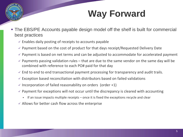## **Way Forward**

- The EBS/PE Accounts payable design model off the shelf is built for commercial best practices
	- $\checkmark$  Enables daily posting of receipts to accounts payable
	- $\checkmark$  Payment based on the cost of product for that days receipt/Requested Delivery Date
	- $\checkmark$  Payment is based on net terms and can be adjusted to accommodate for accelerated payment
	- $\checkmark$  Payments passing validation rules that are due to the same vendor on the same day will be combined with reference to each PO# paid for that day
	- $\checkmark$  End to end to end transactional payment processing for transparency and audit trails.
	- $\checkmark$  Exception based reconciliation with distributors based on failed validations
	- $\checkmark$  Incorporation of failed reasonability on orders (order +1)
	- $\checkmark$  Payment for exceptions will not occur until the discrepancy is cleared with accounting
		- If an issue impacts multiple receipts  $-$  once it is fixed the exceptions recycle and clear
	- $\checkmark$  Allows for better cash flow across the enterprise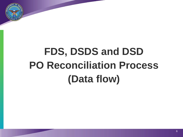

# **FDS, DSDS and DSD PO Reconciliation Process (Data flow)**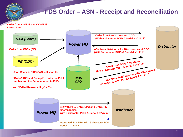

### **FDS Order – ASN - Receipt and Reconciliation**

**Order from CONUS and OCONUS stores (DAX)**

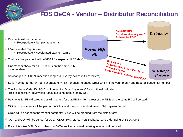#### **FDS DeCA - Vendor – Distributor Reconciliation**



- $\checkmark$  Serial number format will be 4 characters "ymxx" for each Purchase Order which is the year, month and Base 36 sequential number
- $\checkmark$  The Purchase Order ID (POID) will be sent to DLA "myInvoice" for additional validation (This field exists in "myInvoice" today but is not populated by DeCA)
- $\checkmark$  Payments for PIIN discrepancies will be held for that PIIN while the rest of the PIINs on the same PO will be paid
- $\checkmark$  OCONUS shipments will be paid on "ASN date at the port of embarkment + Net payment terms"
- $\checkmark$  CDCs will be added to the Vendor contracts; CDCs will be ordering from the distributors;
- $\checkmark$  OOP and OOP will be sunset for DeCA CDCs, PAC stores, Fort Buchanan who order using DIBS DOORS
- $\checkmark$  For entities like GITMO and other non DeCA entities, a virtual ordering location will be used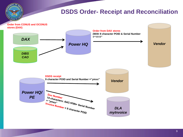

#### **DSDS Order- Receipt and Reconciliation**

**Order from CONUS and OCONUS stores (DAX)**

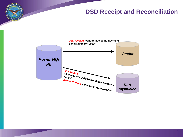### **DSD Receipt and Reconciliation**

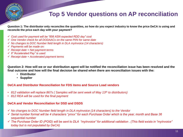

### **Top 5 Vendor questions on AP reconciliation**

**Question 1: The distributor only reconciles the quantities, so how do you expect industry to know the price DeCA is using and reconcile the price each day with your payment?**

- *Cost used for payment will be "856 ASN expected RDD day" cost*
- *One Vendor check for all DODAACs on the same PIIN for same date*
- *No changes to DOC Number field length in DLA myInvoice (14 characters)*
- *Payments will be made on:*
- *Receipt date + Net payment terms*
- *If "Accelerated Pay" is used:*
- *Receipt date + Accelerated payment terms*

**Question 2: How will we or our distribution agent will be notified the reconciliation issue has been resolved and the final outcome and how will the final decision be shared when there are reconciliation issues with the:**

- **Distributor**
- **Supplier**

#### **DeCA and Distributor Reconciliation for FDS items and Source Load vendors**

- *812 validation will replace 867s ( Samples will be sent week of May 13th to distributors)*
- *812 REA will be used for the final payment*

#### **DeCA and Vendor Reconciliation for DSD and DSDS**

- *No changes to DOC Number field length in DLA myInvoice (14 characters) to the Vendor*
- *Serial number format will be 4 characters "ymxx" for each Purchase Order which is the year, month and Base 36 sequential number*
- *The Purchase Order ID (POID) will be sent to DLA "myInvoice" for additional validation* . *(This field exists in "myInvoice" today but is not populated by DeCA)*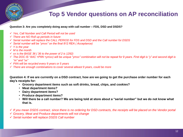

#### **Top 5 Vendor questions on AP reconciliation**

#### **Question 3: Are you completely doing away with call number – FDS, DSD and DSDS?**

- *Yes, Call Number and Call Period will not be used*
- *There are NO Roll up periods in future*
- *Serial number will replace the CALL PERIOD for FDS and DSD and the Call number for DSDS*
- *Serial number will be "ymxx" on the final 812 REA ( Acceptance)*
- *Y is the year*
- *M is the month*
- *xx is the BASE 36 ( 36 to the power of 2 is 1292)*
- *The DOC IS "AAC +PIIN +ymxx) will be unique "ymxx" combination will not be repeat for 9 years. First digit is "y" and second digit is "m" and "xx"*
- *PIIN will be recycled every 9 years or 5 years*
- *There are enough combinations to cover several atleast 9 years, could be more*

**Question 4: If we are currently on a DSD contract, how are we going to get the purchase order number for each day's receipts for:**

- **Grocery department items such as soft drinks, bread, chips, and cookies?**
- **Meat department items?**
- **Dairy department items?**
- **Produce department items?**
- **Will there be a call number? We are being told at store about a "serial number" but we do not know what that is.**
- *If you mean DSDS contract, since there is no ordering for DSD contracts, the receipts will be placed on the Vendor portal*
- *Grocery, Meat and Produce departments will not change*
- *Serial number will replace DSDS Call number*